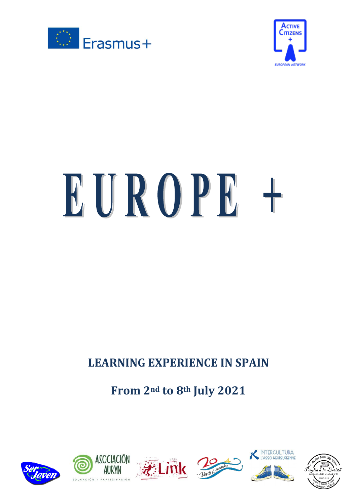



# EUROPE +

# **LEARNING EXPERIENCE IN SPAIN**

# **From 2nd to 8th July 2021**



ASOCIACIÓN



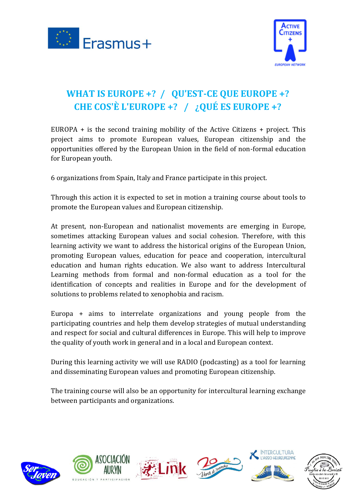



## **WHAT IS EUROPE +? / QU'EST-CE QUE EUROPE +? CHE COS'È L'EUROPE +? / ¿QUÉ ES EUROPE +?**

EUROPA + is the second training mobility of the Active Citizens + project. This project aims to promote European values, European citizenship and the opportunities offered by the European Union in the field of non-formal education for European youth.

6 organizations from Spain, Italy and France participate in this project.

Through this action it is expected to set in motion a training course about tools to promote the European values and European citizenship.

At present, non-European and nationalist movements are emerging in Europe, sometimes attacking European values and social cohesion. Therefore, with this learning activity we want to address the historical origins of the European Union, promoting European values, education for peace and cooperation, intercultural education and human rights education. We also want to address Intercultural Learning methods from formal and non-formal education as a tool for the identification of concepts and realities in Europe and for the development of solutions to problems related to xenophobia and racism.

Europa + aims to interrelate organizations and young people from the participating countries and help them develop strategies of mutual understanding and respect for social and cultural differences in Europe. This will help to improve the quality of youth work in general and in a local and European context.

During this learning activity we will use RADIO (podcasting) as a tool for learning and disseminating European values and promoting European citizenship.

The training course will also be an opportunity for intercultural learning exchange between participants and organizations.











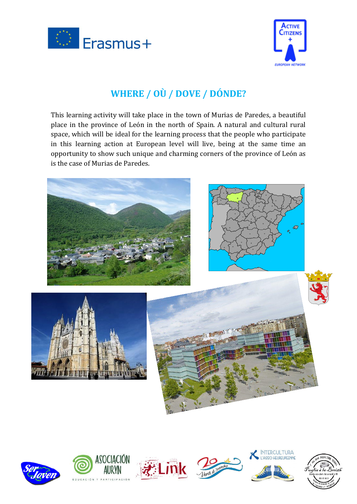



#### **WHERE / OÙ / DOVE / DÓNDE?**

This learning activity will take place in the town of Murias de Paredes, a beautiful place in the province of León in the north of Spain. A natural and cultural rural space, which will be ideal for the learning process that the people who participate in this learning action at European level will live, being at the same time an opportunity to show such unique and charming corners of the province of León as is the case of Murias de Paredes.













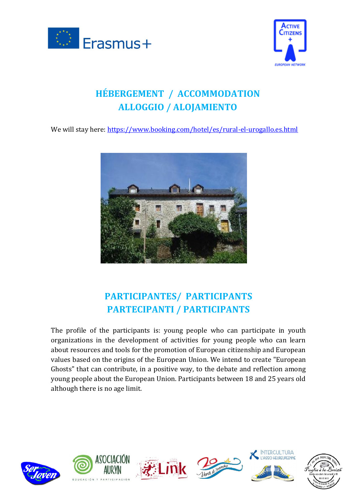



# **HÉBERGEMENT / ACCOMMODATION ALLOGGIO / ALOJAMIENTO**

We will stay here: <https://www.booking.com/hotel/es/rural-el-urogallo.es.html>



#### **PARTICIPANTES/ PARTICIPANTS PARTECIPANTI / PARTICIPANTS**

The profile of the participants is: young people who can participate in youth organizations in the development of activities for young people who can learn about resources and tools for the promotion of European citizenship and European values based on the origins of the European Union. We intend to create "European Ghosts" that can contribute, in a positive way, to the debate and reflection among young people about the European Union. Participants between 18 and 25 years old although there is no age limit.



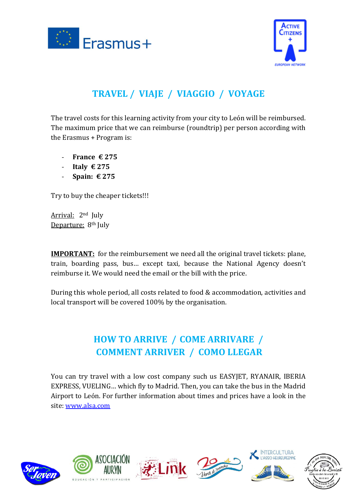



# **TRAVEL / VIAJE / VIAGGIO / VOYAGE**

The travel costs for this learning activity from your city to León will be reimbursed. The maximum price that we can reimburse (roundtrip) per person according with the Erasmus + Program is:

- **France € 275**
- **Italy € 275**
- **Spain: € 275**

Try to buy the cheaper tickets!!!

Arrival: 2nd July Departure: 8<sup>th</sup> July

**IMPORTANT:** for the reimbursement we need all the original travel tickets: plane, train, boarding pass, bus… except taxi, because the National Agency doesn't reimburse it. We would need the email or the bill with the price.

During this whole period, all costs related to food & accommodation, activities and local transport will be covered 100% by the organisation.

#### **HOW TO ARRIVE / COME ARRIVARE / COMMENT ARRIVER / COMO LLEGAR**

You can try travel with a low cost company such us EASYJET, RYANAIR, IBERIA EXPRESS, VUELING… which fly to Madrid. Then, you can take the bus in the Madrid Airport to León. For further information about times and prices have a look in the site: [www.alsa.com](http://www.alsa.com/)











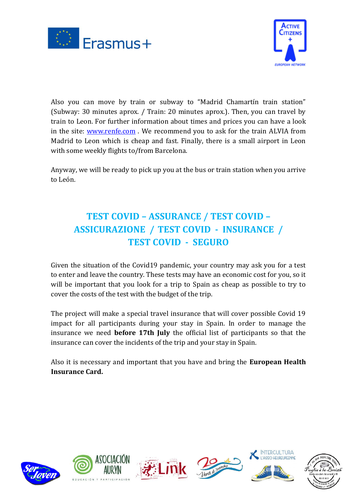



Also you can move by train or subway to "Madrid Chamartín train station" (Subway: 30 minutes aprox. / Train: 20 minutes aprox.). Then, you can travel by train to Leon. For further information about times and prices you can have a look in the site: [www.renfe.com](http://www.renfe.com/) . We recommend you to ask for the train ALVIA from Madrid to Leon which is cheap and fast. Finally, there is a small airport in Leon with some weekly flights to/from Barcelona.

Anyway, we will be ready to pick up you at the bus or train station when you arrive to León.

#### **TEST COVID – ASSURANCE / TEST COVID – ASSICURAZIONE / TEST COVID - INSURANCE / TEST COVID - SEGURO**

Given the situation of the Covid19 pandemic, your country may ask you for a test to enter and leave the country. These tests may have an economic cost for you, so it will be important that you look for a trip to Spain as cheap as possible to try to cover the costs of the test with the budget of the trip.

The project will make a special travel insurance that will cover possible Covid 19 impact for all participants during your stay in Spain. In order to manage the insurance we need **before 17th July** the official list of participants so that the insurance can cover the incidents of the trip and your stay in Spain.

Also it is necessary and important that you have and bring the **European Health Insurance Card.**



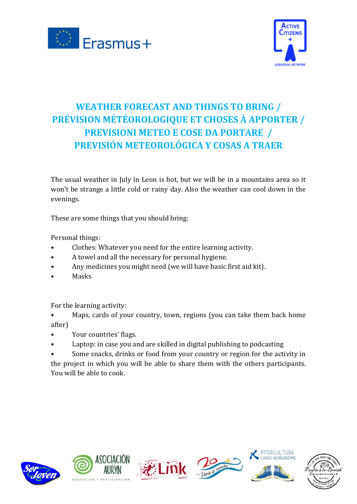



## **WEATHER FORECAST AND THINGS TO BRING / PRÉVISION MÉTÉOROLOGIQUE ET CHOSES À APPORTER / PREVISIONI METEO E COSE DA PORTARE / PREVISIÓN METEOROLÓGICA Y COSAS A TRAER**

The usual weather in July in Leon is hot, but we will be in a mountains area so it won't be strange a little cold or rainy day. Also the weather can cool down in the evenings.

These are some things that you should bring:

Personal things:

- Clothes: Whatever you need for the entire learning activity.
- A towel and all the necessary for personal hygiene.
- Any medicines you might need (we will have basic first aid kit).
- **Masks**

For the learning activity:

- Maps, cards of your country, town, regions (you can take them back home after)
- Your countries' flags.
- Laptop: in case you and are skilled in digital publishing to podcasting
- Some snacks, drinks or food from your country or region for the activity in the project in which you will be able to share them with the others participants. You will be able to cook.